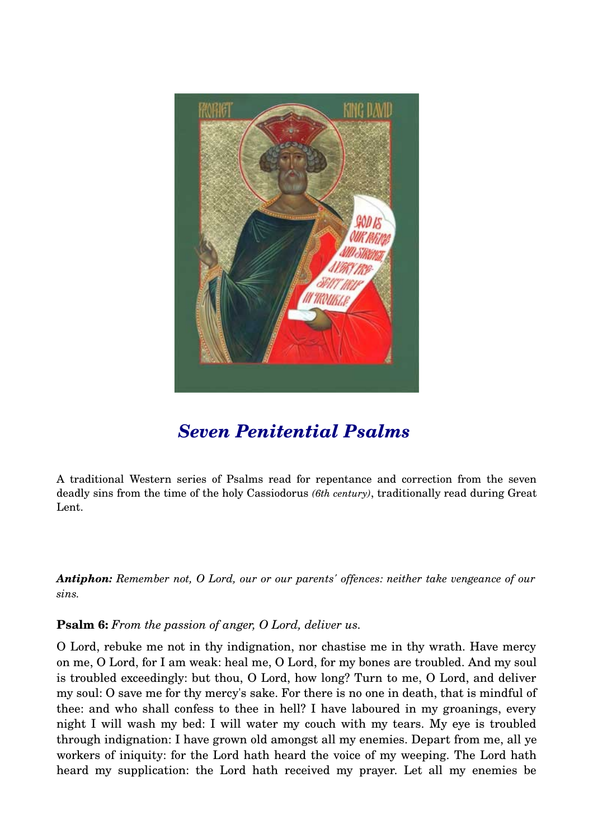

# *[Seven Penitential Psalms](http://westernorthodoxchristian.blogspot.com/2009/04/seven-penitential-psalms.html)*

A traditional Western series of Psalms read for repentance and correction from the seven deadly sins from the time of the holy Cassiodorus *(6th century)*, traditionally read during Great Lent.

*Antiphon: Remember not, O Lord, our or our parents' offences: neither take vengeance of our sins.* 

# **Psalm 6:** *From the passion of anger, O Lord, deliver us.*

O Lord, rebuke me not in thy indignation, nor chastise me in thy wrath. Have mercy on me, O Lord, for I am weak: heal me, O Lord, for my bones are troubled. And my soul is troubled exceedingly: but thou, O Lord, how long? Turn to me, O Lord, and deliver my soul: O save me for thy mercy's sake. For there is no one in death, that is mindful of thee: and who shall confess to thee in hell? I have laboured in my groanings, every night I will wash my bed: I will water my couch with my tears. My eye is troubled through indignation: I have grown old amongst all my enemies. Depart from me, all ye workers of iniquity: for the Lord hath heard the voice of my weeping. The Lord hath heard my supplication: the Lord hath received my prayer. Let all my enemies be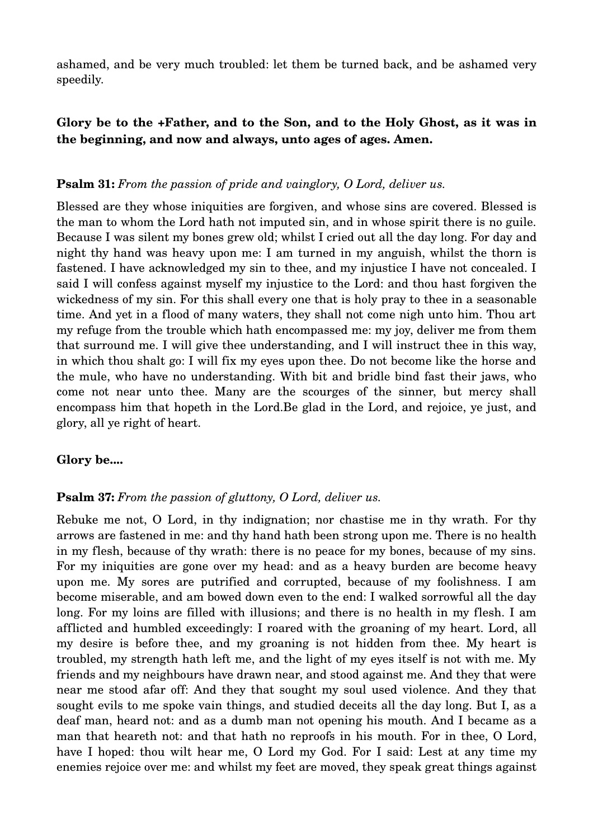ashamed, and be very much troubled: let them be turned back, and be ashamed very speedily.

# **Glory be to the +Father, and to the Son, and to the Holy Ghost, as it was in the beginning, and now and always, unto ages of ages. Amen.**

## **Psalm 31:** *From the passion of pride and vainglory, O Lord, deliver us.*

Blessed are they whose iniquities are forgiven, and whose sins are covered. Blessed is the man to whom the Lord hath not imputed sin, and in whose spirit there is no guile. Because I was silent my bones grew old; whilst I cried out all the day long. For day and night thy hand was heavy upon me: I am turned in my anguish, whilst the thorn is fastened. I have acknowledged my sin to thee, and my injustice I have not concealed. I said I will confess against myself my injustice to the Lord: and thou hast forgiven the wickedness of my sin. For this shall every one that is holy pray to thee in a seasonable time. And yet in a flood of many waters, they shall not come nigh unto him. Thou art my refuge from the trouble which hath encompassed me: my joy, deliver me from them that surround me. I will give thee understanding, and I will instruct thee in this way, in which thou shalt go: I will fix my eyes upon thee. Do not become like the horse and the mule, who have no understanding. With bit and bridle bind fast their jaws, who come not near unto thee. Many are the scourges of the sinner, but mercy shall encompass him that hopeth in the Lord.Be glad in the Lord, and rejoice, ye just, and glory, all ye right of heart.

## **Glory be....**

## **Psalm 37:** *From the passion of gluttony, O Lord, deliver us.*

Rebuke me not, O Lord, in thy indignation; nor chastise me in thy wrath. For thy arrows are fastened in me: and thy hand hath been strong upon me. There is no health in my flesh, because of thy wrath: there is no peace for my bones, because of my sins. For my iniquities are gone over my head: and as a heavy burden are become heavy upon me. My sores are putrified and corrupted, because of my foolishness. I am become miserable, and am bowed down even to the end: I walked sorrowful all the day long. For my loins are filled with illusions; and there is no health in my flesh. I am afflicted and humbled exceedingly: I roared with the groaning of my heart. Lord, all my desire is before thee, and my groaning is not hidden from thee. My heart is troubled, my strength hath left me, and the light of my eyes itself is not with me. My friends and my neighbours have drawn near, and stood against me. And they that were near me stood afar off: And they that sought my soul used violence. And they that sought evils to me spoke vain things, and studied deceits all the day long. But I, as a deaf man, heard not: and as a dumb man not opening his mouth. And I became as a man that heareth not: and that hath no reproofs in his mouth. For in thee, O Lord, have I hoped: thou wilt hear me, O Lord my God. For I said: Lest at any time my enemies rejoice over me: and whilst my feet are moved, they speak great things against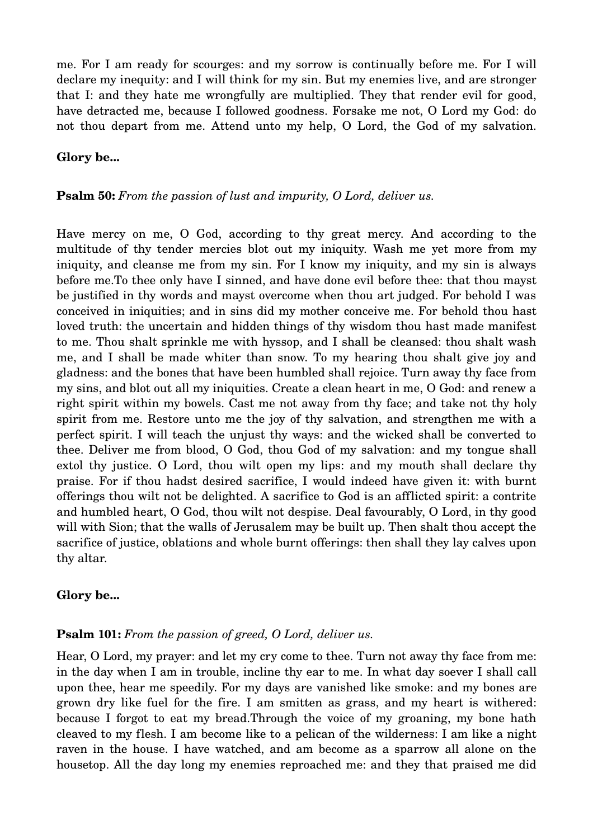me. For I am ready for scourges: and my sorrow is continually before me. For I will declare my inequity: and I will think for my sin. But my enemies live, and are stronger that I: and they hate me wrongfully are multiplied. They that render evil for good, have detracted me, because I followed goodness. Forsake me not, O Lord my God: do not thou depart from me. Attend unto my help, O Lord, the God of my salvation.

## **Glory be...**

## **Psalm 50:** *From the passion of lust and impurity, O Lord, deliver us.*

Have mercy on me, O God, according to thy great mercy. And according to the multitude of thy tender mercies blot out my iniquity. Wash me yet more from my iniquity, and cleanse me from my sin. For I know my iniquity, and my sin is always before me.To thee only have I sinned, and have done evil before thee: that thou mayst be justified in thy words and mayst overcome when thou art judged. For behold I was conceived in iniquities; and in sins did my mother conceive me. For behold thou hast loved truth: the uncertain and hidden things of thy wisdom thou hast made manifest to me. Thou shalt sprinkle me with hyssop, and I shall be cleansed: thou shalt wash me, and I shall be made whiter than snow. To my hearing thou shalt give joy and gladness: and the bones that have been humbled shall rejoice. Turn away thy face from my sins, and blot out all my iniquities. Create a clean heart in me, O God: and renew a right spirit within my bowels. Cast me not away from thy face; and take not thy holy spirit from me. Restore unto me the joy of thy salvation, and strengthen me with a perfect spirit. I will teach the unjust thy ways: and the wicked shall be converted to thee. Deliver me from blood, O God, thou God of my salvation: and my tongue shall extol thy justice. O Lord, thou wilt open my lips: and my mouth shall declare thy praise. For if thou hadst desired sacrifice, I would indeed have given it: with burnt offerings thou wilt not be delighted. A sacrifice to God is an afflicted spirit: a contrite and humbled heart, O God, thou wilt not despise. Deal favourably, O Lord, in thy good will with Sion; that the walls of Jerusalem may be built up. Then shalt thou accept the sacrifice of justice, oblations and whole burnt offerings: then shall they lay calves upon thy altar.

## **Glory be...**

#### **Psalm 101:** *From the passion of greed, O Lord, deliver us.*

Hear, O Lord, my prayer: and let my cry come to thee. Turn not away thy face from me: in the day when I am in trouble, incline thy ear to me. In what day soever I shall call upon thee, hear me speedily. For my days are vanished like smoke: and my bones are grown dry like fuel for the fire. I am smitten as grass, and my heart is withered: because I forgot to eat my bread.Through the voice of my groaning, my bone hath cleaved to my flesh. I am become like to a pelican of the wilderness: I am like a night raven in the house. I have watched, and am become as a sparrow all alone on the housetop. All the day long my enemies reproached me: and they that praised me did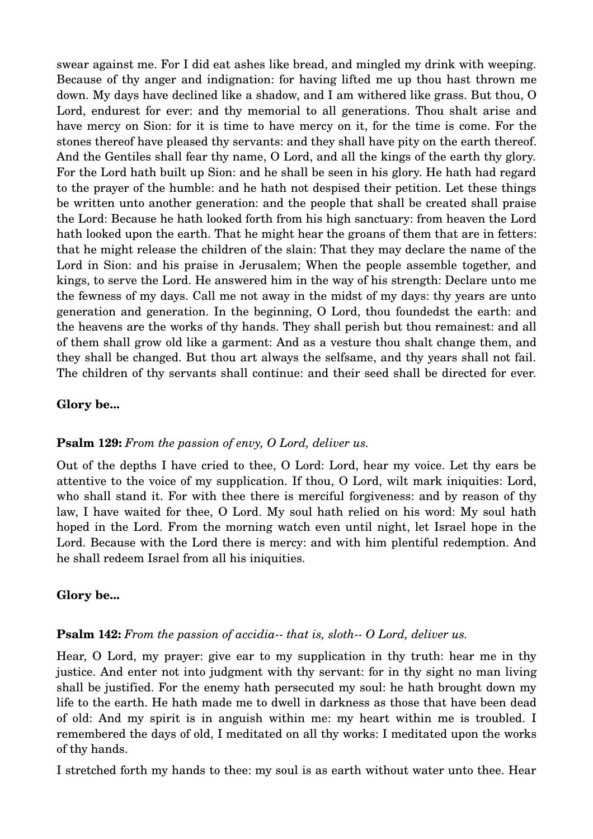swear against me. For I did eat ashes like bread, and mingled my drink with weeping. Because of thy anger and indignation: for having lifted me up thou hast thrown me down. My days have declined like a shadow, and I am withered like grass. But thou, O Lord, endurest for ever: and thy memorial to all generations. Thou shalt arise and have mercy on Sion: for it is time to have mercy on it, for the time is come. For the stones thereof have pleased thy servants: and they shall have pity on the earth thereof. And the Gentiles shall fear thy name, O Lord, and all the kings of the earth thy glory. For the Lord hath built up Sion: and he shall be seen in his glory. He hath had regard to the prayer of the humble: and he hath not despised their petition. Let these things be written unto another generation: and the people that shall be created shall praise the Lord: Because he hath looked forth from his high sanctuary: from heaven the Lord hath looked upon the earth. That he might hear the groans of them that are in fetters: that he might release the children of the slain: That they may declare the name of the Lord in Sion: and his praise in Jerusalem; When the people assemble together, and kings, to serve the Lord. He answered him in the way of his strength: Declare unto me the fewness of my days. Call me not away in the midst of my days: thy years are unto generation and generation. In the beginning, O Lord, thou foundedst the earth: and the heavens are the works of thy hands. They shall perish but thou remainest: and all of them shall grow old like a garment: And as a vesture thou shalt change them, and they shall be changed. But thou art always the selfsame, and thy years shall not fail. The children of thy servants shall continue: and their seed shall be directed for ever.

#### **Glory be...**

#### **Psalm 129:** *From the passion of envy, O Lord, deliver us.*

Out of the depths I have cried to thee, O Lord: Lord, hear my voice. Let thy ears be attentive to the voice of my supplication. If thou, O Lord, wilt mark iniquities: Lord, who shall stand it. For with thee there is merciful forgiveness: and by reason of thy law, I have waited for thee, O Lord. My soul hath relied on his word: My soul hath hoped in the Lord. From the morning watch even until night, let Israel hope in the Lord. Because with the Lord there is mercy: and with him plentiful redemption. And he shall redeem Israel from all his iniquities.

## **Glory be...**

#### **Psalm 142:** From the passion of accidia--that is, sloth-- O Lord, deliver us.

Hear, O Lord, my prayer: give ear to my supplication in thy truth: hear me in thy justice. And enter not into judgment with thy servant: for in thy sight no man living shall be justified. For the enemy hath persecuted my soul: he hath brought down my life to the earth. He hath made me to dwell in darkness as those that have been dead of old: And my spirit is in anguish within me: my heart within me is troubled. I remembered the days of old, I meditated on all thy works: I meditated upon the works of thy hands.

I stretched forth my hands to thee: my soul is as earth without water unto thee. Hear